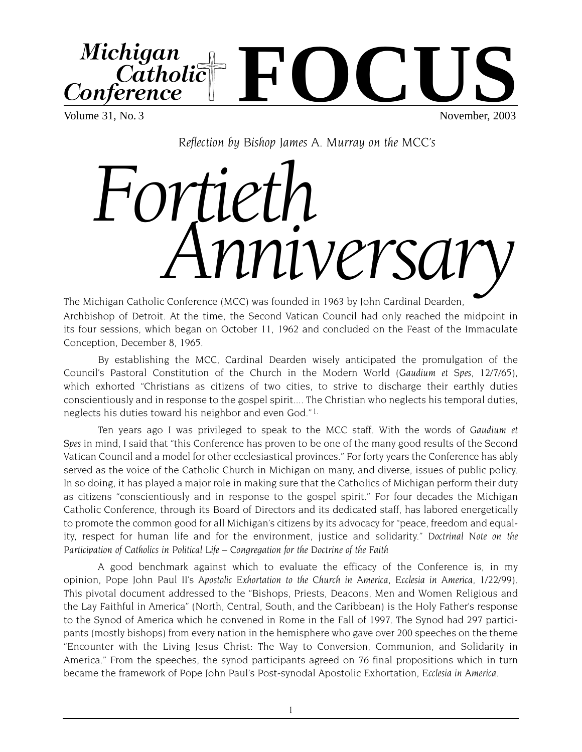**FOCUS**Michigan Catholic Conference

Volume 31, No. 3 November, 2003

*Reflection by Bishop James A. Murray on the MCC's* 

## *Fortie Michigan Catholic Conference* (MCC) was founded in 1963 by John Cardinal Dearden,

Archbishop of Detroit. At the time, the Second Vatican Council had only reached the midpoint in its four sessions, which began on October 11, 1962 and concluded on the Feast of the Immaculate Conception, December 8, 1965.

By establishing the MCC, Cardinal Dearden wisely anticipated the promulgation of the Council's Pastoral Constitution of the Church in the Modern World (*Gaudium et Spes*, 12/7/65), which exhorted "Christians as citizens of two cities, to strive to discharge their earthly duties conscientiously and in response to the gospel spirit.... The Christian who neglects his temporal duties, neglects his duties toward his neighbor and even God." 1.

Ten years ago I was privileged to speak to the MCC staff. With the words of *Gaudium et Spes* in mind, I said that "this Conference has proven to be one of the many good results of the Second Vatican Council and a model for other ecclesiastical provinces." For forty years the Conference has ably served as the voice of the Catholic Church in Michigan on many, and diverse, issues of public policy. In so doing, it has played a major role in making sure that the Catholics of Michigan perform their duty as citizens "conscientiously and in response to the gospel spirit." For four decades the Michigan Catholic Conference, through its Board of Directors and its dedicated staff, has labored energetically to promote the common good for all Michigan's citizens by its advocacy for "peace, freedom and equality, respect for human life and for the environment, justice and solidarity." *Doctrinal Note on the Participation of Catholics in Political Life – Congregation for the Doctrine of the Faith*

A good benchmark against which to evaluate the efficacy of the Conference is, in my opinion, Pope John Paul II's *Apostolic Exhortation to the Church in America*, *Ecclesia in America,* 1/22/99). This pivotal document addressed to the "Bishops, Priests, Deacons, Men and Women Religious and the Lay Faithful in America" (North, Central, South, and the Caribbean) is the Holy Father's response to the Synod of America which he convened in Rome in the Fall of 1997. The Synod had 297 participants (mostly bishops) from every nation in the hemisphere who gave over 200 speeches on the theme "Encounter with the Living Jesus Christ: The Way to Conversion, Communion, and Solidarity in America." From the speeches, the synod participants agreed on 76 final propositions which in turn became the framework of Pope John Paul's Post-synodal Apostolic Exhortation, *Ecclesia in America*.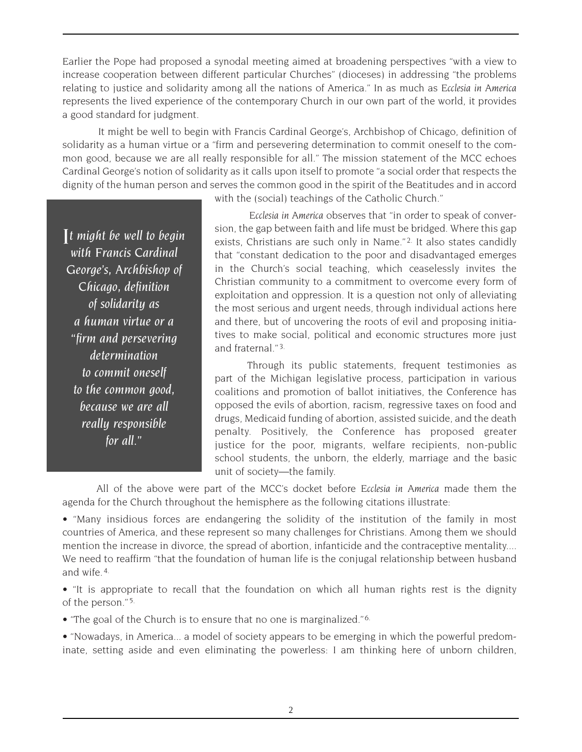Earlier the Pope had proposed a synodal meeting aimed at broadening perspectives "with a view to increase cooperation between different particular Churches" (dioceses) in addressing "the problems relating to justice and solidarity among all the nations of America." In as much as *Ecclesia in America* represents the lived experience of the contemporary Church in our own part of the world, it provides a good standard for judgment.

It might be well to begin with Francis Cardinal George's, Archbishop of Chicago, definition of solidarity as a human virtue or a "firm and persevering determination to commit oneself to the common good, because we are all really responsible for all." The mission statement of the MCC echoes Cardinal George's notion of solidarity as it calls upon itself to promote "a social order that respects the dignity of the human person and serves the common good in the spirit of the Beatitudes and in accord

*It might be well to begin with Francis Cardinal George's, Archbishop of Chicago, definition of solidarity as a human virtue or a "firm and persevering determination to commit oneself to the common good, because we are all really responsible for all."*

with the (social) teachings of the Catholic Church."

*Ecclesia in America* observes that "in order to speak of conversion, the gap between faith and life must be bridged. Where this gap exists, Christians are such only in Name."<sup>2</sup> It also states candidly that "constant dedication to the poor and disadvantaged emerges in the Church's social teaching, which ceaselessly invites the Christian community to a commitment to overcome every form of exploitation and oppression. It is a question not only of alleviating the most serious and urgent needs, through individual actions here and there, but of uncovering the roots of evil and proposing initiatives to make social, political and economic structures more just and fraternal." 3.

Through its public statements, frequent testimonies as part of the Michigan legislative process, participation in various coalitions and promotion of ballot initiatives, the Conference has opposed the evils of abortion, racism, regressive taxes on food and drugs, Medicaid funding of abortion, assisted suicide, and the death penalty. Positively, the Conference has proposed greater justice for the poor, migrants, welfare recipients, non-public school students, the unborn, the elderly, marriage and the basic unit of society—the family.

All of the above were part of the MCC's docket before *Ecclesia in America* made them the agenda for the Church throughout the hemisphere as the following citations illustrate:

• "Many insidious forces are endangering the solidity of the institution of the family in most countries of America, and these represent so many challenges for Christians. Among them we should mention the increase in divorce, the spread of abortion, infanticide and the contraceptive mentality.... We need to reaffirm "that the foundation of human life is the conjugal relationship between husband and wife. 4.

• "It is appropriate to recall that the foundation on which all human rights rest is the dignity of the person." 5.

• "The goal of the Church is to ensure that no one is marginalized." 6.

• "Nowadays, in America... a model of society appears to be emerging in which the powerful predominate, setting aside and even eliminating the powerless: I am thinking here of unborn children,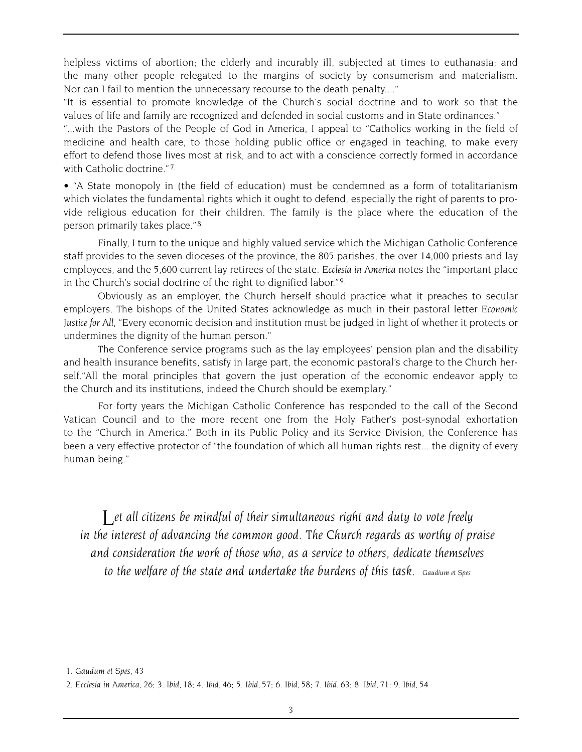helpless victims of abortion; the elderly and incurably ill, subjected at times to euthanasia; and the many other people relegated to the margins of society by consumerism and materialism. Nor can I fail to mention the unnecessary recourse to the death penalty...."

"It is essential to promote knowledge of the Church's social doctrine and to work so that the values of life and family are recognized and defended in social customs and in State ordinances."

"...with the Pastors of the People of God in America, I appeal to "Catholics working in the field of medicine and health care, to those holding public office or engaged in teaching, to make every effort to defend those lives most at risk, and to act with a conscience correctly formed in accordance with Catholic doctrine." 7.

• "A State monopoly in (the field of education) must be condemned as a form of totalitarianism which violates the fundamental rights which it ought to defend, especially the right of parents to provide religious education for their children. The family is the place where the education of the person primarily takes place." 8.

Finally, I turn to the unique and highly valued service which the Michigan Catholic Conference staff provides to the seven dioceses of the province, the 805 parishes, the over 14,000 priests and lay employees, and the 5,600 current lay retirees of the state. *Ecclesia in America* notes the "important place in the Church's social doctrine of the right to dignified labor." 9.

Obviously as an employer, the Church herself should practice what it preaches to secular employers. The bishops of the United States acknowledge as much in their pastoral letter *Economic Justice for All*, "Every economic decision and institution must be judged in light of whether it protects or undermines the dignity of the human person."

The Conference service programs such as the lay employees' pension plan and the disability and health insurance benefits, satisfy in large part, the economic pastoral's charge to the Church herself."All the moral principles that govern the just operation of the economic endeavor apply to the Church and its institutions, indeed the Church should be exemplary."

For forty years the Michigan Catholic Conference has responded to the call of the Second Vatican Council and to the more recent one from the Holy Father's post-synodal exhortation to the "Church in America." Both in its Public Policy and its Service Division, the Conference has been a very effective protector of "the foundation of which all human rights rest... the dignity of every human being."

*Let all citizens be mindful of their simultaneous right and duty to vote freely in the interest of advancing the common good. The Church regards as worthy of praise and consideration the work of those who, as a service to others, dedicate themselves to the welfare of the state and undertake the burdens of this task. Gaudium et Spes*

*<sup>1.</sup> Gaudum et Spes, 43*

*<sup>2.</sup> Ecclesia in America, 26; 3. Ibid, 18; 4. Ibid, 46; 5. Ibid, 57; 6. Ibid, 58; 7. Ibid, 63; 8. Ibid, 71; 9. Ibid, 54*